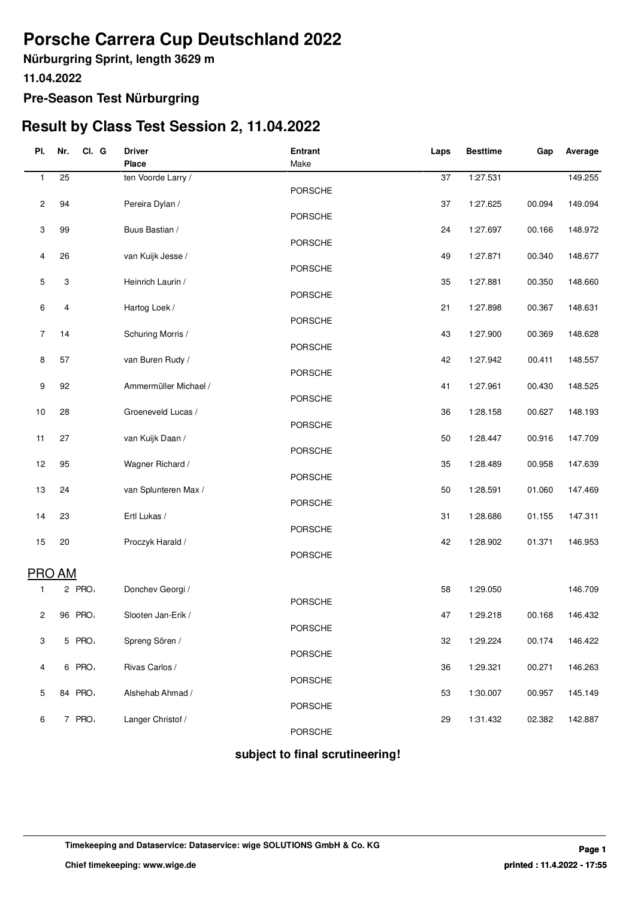# **Porsche Carrera Cup Deutschland 2022**

**Nürburgring Sprint, length 3629 m**

**11.04.2022**

### **Pre-Season Test Nürburgring**

## **Result by Class Test Session 2, 11.04.2022**

| PI.            | Nr.<br>CI. G | <b>Driver</b>         | <b>Entrant</b> | Laps | <b>Besttime</b> | Gap    | Average |
|----------------|--------------|-----------------------|----------------|------|-----------------|--------|---------|
|                |              | <b>Place</b>          | Make           |      |                 |        |         |
| 1              | 25           | ten Voorde Larry /    |                | 37   | 1:27.531        |        | 149.255 |
|                |              |                       | PORSCHE        |      |                 |        |         |
| 2              | 94           | Pereira Dylan /       |                | 37   | 1:27.625        | 00.094 | 149.094 |
|                |              |                       | <b>PORSCHE</b> |      |                 |        |         |
| 3              | 99           | Buus Bastian /        |                | 24   | 1:27.697        | 00.166 | 148.972 |
|                |              |                       | <b>PORSCHE</b> |      |                 |        |         |
| 4              | 26           | van Kuijk Jesse /     | <b>PORSCHE</b> | 49   | 1:27.871        | 00.340 | 148.677 |
| 5              | 3            | Heinrich Laurin /     |                | 35   | 1:27.881        | 00.350 | 148.660 |
|                |              |                       | PORSCHE        |      |                 |        |         |
| 6              | 4            | Hartog Loek /         |                | 21   | 1:27.898        | 00.367 | 148.631 |
|                |              |                       | <b>PORSCHE</b> |      |                 |        |         |
| $\overline{7}$ | 14           | Schuring Morris /     |                | 43   | 1:27.900        | 00.369 | 148.628 |
|                |              |                       | <b>PORSCHE</b> |      |                 |        |         |
| 8              | 57           | van Buren Rudy /      |                | 42   | 1:27.942        | 00.411 | 148.557 |
|                |              |                       | <b>PORSCHE</b> |      |                 |        |         |
| 9              | 92           | Ammermüller Michael / |                | 41   | 1:27.961        | 00.430 | 148.525 |
|                |              |                       | PORSCHE        |      |                 |        |         |
| 10             | 28           | Groeneveld Lucas /    | PORSCHE        | 36   | 1:28.158        | 00.627 | 148.193 |
| 11             | 27           | van Kuijk Daan /      |                | 50   | 1:28.447        | 00.916 | 147.709 |
|                |              |                       | <b>PORSCHE</b> |      |                 |        |         |
| 12             | 95           | Wagner Richard /      |                | 35   | 1:28.489        | 00.958 | 147.639 |
|                |              |                       | PORSCHE        |      |                 |        |         |
| 13             | 24           | van Splunteren Max /  |                | 50   | 1:28.591        | 01.060 | 147.469 |
|                |              |                       | PORSCHE        |      |                 |        |         |
| 14             | 23           | Ertl Lukas /          |                | 31   | 1:28.686        | 01.155 | 147.311 |
|                |              |                       | PORSCHE        |      |                 |        |         |
| 15             | 20           | Proczyk Harald /      |                | 42   | 1:28.902        | 01.371 | 146.953 |
|                |              |                       | <b>PORSCHE</b> |      |                 |        |         |
|                | PRO AM       |                       |                |      |                 |        |         |
| 1              | 2 PRO        | Donchev Georgi /      |                | 58   | 1:29.050        |        | 146.709 |
|                |              |                       | PORSCHE        |      |                 |        |         |
| 2              | 96 PRO       | Slooten Jan-Erik /    |                | 47   | 1:29.218        | 00.168 | 146.432 |
|                |              |                       | PORSCHE        |      |                 |        |         |
| 3              | 5 PRO        | Spreng Sören /        |                | 32   | 1:29.224        | 00.174 | 146.422 |
|                |              |                       | <b>PORSCHE</b> |      |                 |        |         |
| 4              | 6 PRO        | Rivas Carlos /        |                | 36   | 1:29.321        | 00.271 | 146.263 |
| 5              | 84 PRO       | Alshehab Ahmad /      | <b>PORSCHE</b> | 53   | 1:30.007        | 00.957 | 145.149 |
|                |              |                       | PORSCHE        |      |                 |        |         |
| 6              | 7 PRO        | Langer Christof /     |                | 29   | 1:31.432        | 02.382 | 142.887 |
|                |              |                       | PORSCHE        |      |                 |        |         |
|                |              |                       |                |      |                 |        |         |

 **subject to final scrutineering!**